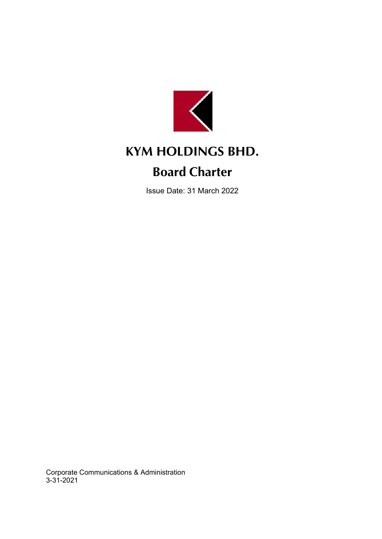

# **KYM HOLDINGS BHD.**

# **Board Charter**

Issue Date: 31 March 2022

Corporate Communications & Administration 3-31-2021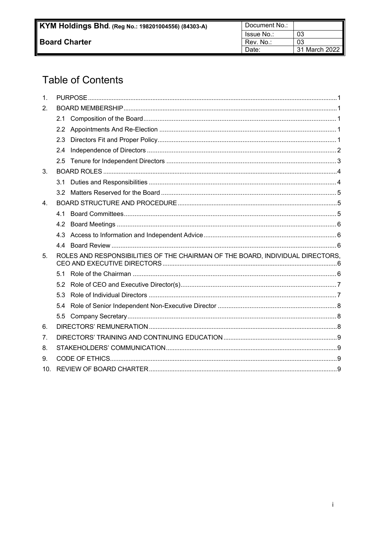# **Table of Contents**

| 1.              |                  |                                                                                |  |  |
|-----------------|------------------|--------------------------------------------------------------------------------|--|--|
| 2.              |                  |                                                                                |  |  |
|                 |                  |                                                                                |  |  |
|                 | 2.2              |                                                                                |  |  |
|                 | 2.3              |                                                                                |  |  |
|                 | $2.4\phantom{0}$ |                                                                                |  |  |
|                 | 2.5              |                                                                                |  |  |
| 3.              |                  |                                                                                |  |  |
|                 | 3.1              |                                                                                |  |  |
|                 | 32               |                                                                                |  |  |
| 4 <sub>1</sub>  |                  |                                                                                |  |  |
|                 | 41               |                                                                                |  |  |
|                 | 4.2              |                                                                                |  |  |
|                 | 4.3              |                                                                                |  |  |
|                 | 4.4              |                                                                                |  |  |
| 5.              |                  | ROLES AND RESPONSIBILITIES OF THE CHAIRMAN OF THE BOARD, INDIVIDUAL DIRECTORS, |  |  |
|                 | 51               |                                                                                |  |  |
|                 | 5.2              |                                                                                |  |  |
|                 | 5.3              |                                                                                |  |  |
|                 | 5.4              |                                                                                |  |  |
|                 | 5.5              |                                                                                |  |  |
| 6.              |                  |                                                                                |  |  |
| 7.              |                  |                                                                                |  |  |
| 8.              |                  |                                                                                |  |  |
| 9.              |                  |                                                                                |  |  |
| 10 <sub>1</sub> |                  |                                                                                |  |  |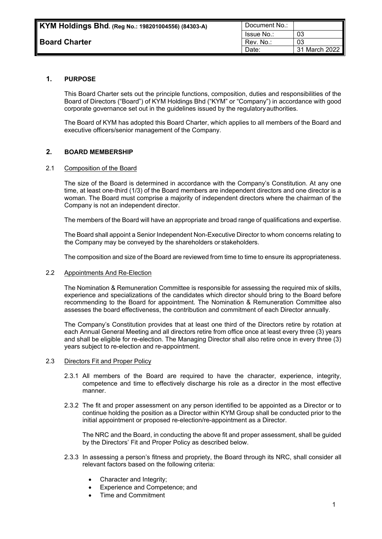| Document No.: |               |
|---------------|---------------|
| Issue No.:    | በ3            |
| Rev. No.:     | በ3            |
| Date:         | 31 March 2022 |

# <span id="page-2-0"></span>**1. PURPOSE**

This Board Charter sets out the principle functions, composition, duties and responsibilities of the Board of Directors ("Board") of KYM Holdings Bhd ("KYM" or "Company") in accordance with good corporate governance set out in the guidelines issued by the regulatoryauthorities.

The Board of KYM has adopted this Board Charter, which applies to all members of the Board and executive officers/senior management of the Company.

# <span id="page-2-1"></span>**2. BOARD MEMBERSHIP**

# <span id="page-2-2"></span>2.1 Composition of the Board

The size of the Board is determined in accordance with the Company's Constitution. At any one time, at least one-third (1/3) of the Board members are independent directors and one director is a woman. The Board must comprise a majority of independent directors where the chairman of the Company is not an independent director.

The members of the Board will have an appropriate and broad range of qualifications and expertise.

The Board shall appoint a Senior Independent Non-Executive Director to whom concerns relating to the Company may be conveyed by the shareholders or stakeholders.

The composition and size of the Board are reviewed from time to time to ensure its appropriateness.

#### <span id="page-2-3"></span>2.2 Appointments And Re-Election

The Nomination & Remuneration Committee is responsible for assessing the required mix of skills, experience and specializations of the candidates which director should bring to the Board before recommending to the Board for appointment. The Nomination & Remuneration Committee also assesses the board effectiveness, the contribution and commitment of each Director annually.

The Company's Constitution provides that at least one third of the Directors retire by rotation at each Annual General Meeting and all directors retire from office once at least every three (3) years and shall be eligible for re-election. The Managing Director shall also retire once in every three (3) years subject to re-election and re-appointment.

#### <span id="page-2-4"></span>2.3 Directors Fit and Proper Policy

- 2.3.1 All members of the Board are required to have the character, experience, integrity, competence and time to effectively discharge his role as a director in the most effective manner.
- 2.3.2 The fit and proper assessment on any person identified to be appointed as a Director or to continue holding the position as a Director within KYM Group shall be conducted prior to the initial appointment or proposed re-election/re-appointment as a Director.

The NRC and the Board, in conducting the above fit and proper assessment, shall be guided by the Directors' Fit and Proper Policy as described below.

- 2.3.3 In assessing a person's fitness and propriety, the Board through its NRC, shall consider all relevant factors based on the following criteria:
	- Character and Integrity;
	- Experience and Competence; and
	- Time and Commitment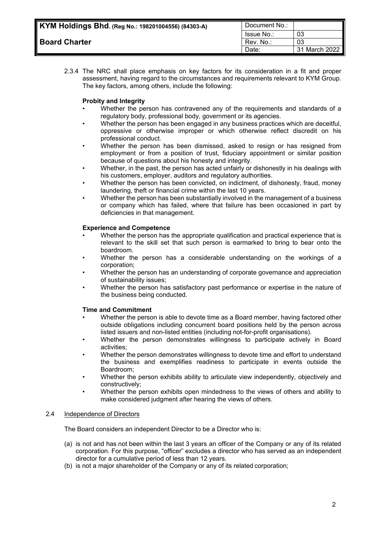| ام KYM Holdings Bhd. (Reg No.: 198201004556) (84303-A) | Document No.: |               |
|--------------------------------------------------------|---------------|---------------|
|                                                        | Issue No.:    | 03            |
| <b>Board Charter</b>                                   | Rev. No.:     | 03            |
|                                                        | Date:         | 31 March 2022 |

2.3.4 The NRC shall place emphasis on key factors for its consideration in a fit and proper assessment, having regard to the circumstances and requirements relevant to KYM Group. The key factors, among others, include the following:

# **Probity and Integrity**

- Whether the person has contravened any of the requirements and standards of a regulatory body, professional body, government or its agencies.
- Whether the person has been engaged in any business practices which are deceitful, oppressive or otherwise improper or which otherwise reflect discredit on his professional conduct.
- Whether the person has been dismissed, asked to resign or has resigned from employment or from a position of trust, fiduciary appointment or similar position because of questions about his honesty and integrity.
- Whether, in the past, the person has acted unfairly or dishonestly in his dealings with his customers, employer, auditors and regulatory authorities.
- Whether the person has been convicted, on indictment, of dishonesty, fraud, money laundering, theft or financial crime within the last 10 years.
- Whether the person has been substantially involved in the management of a business or company which has failed, where that failure has been occasioned in part by deficiencies in that management.

#### **Experience and Competence**

- Whether the person has the appropriate qualification and practical experience that is relevant to the skill set that such person is earmarked to bring to bear onto the boardroom.
- Whether the person has a considerable understanding on the workings of a corporation;
- Whether the person has an understanding of corporate governance and appreciation of sustainability issues;
- Whether the person has satisfactory past performance or expertise in the nature of the business being conducted.

#### **Time and Commitment**

- Whether the person is able to devote time as a Board member, having factored other outside obligations including concurrent board positions held by the person across listed issuers and non-listed entities (including not-for-profit organisations).
- Whether the person demonstrates willingness to participate actively in Board activities;
- Whether the person demonstrates willingness to devote time and effort to understand the business and exemplifies readiness to participate in events outside the Boardroom;
- Whether the person exhibits ability to articulate view independently, objectively and constructively;
- Whether the person exhibits open mindedness to the views of others and ability to make considered judgment after hearing the views of others.

#### <span id="page-3-0"></span>2.4 Independence of Directors

The Board considers an independent Director to be a Director who is:

- (a) is not and has not been within the last 3 years an officer of the Company or any of its related corporation. For this purpose, "officer" excludes a director who has served as an independent director for a cumulative period of less than 12 years.
- (b) is not a major shareholder of the Company or any of its related corporation;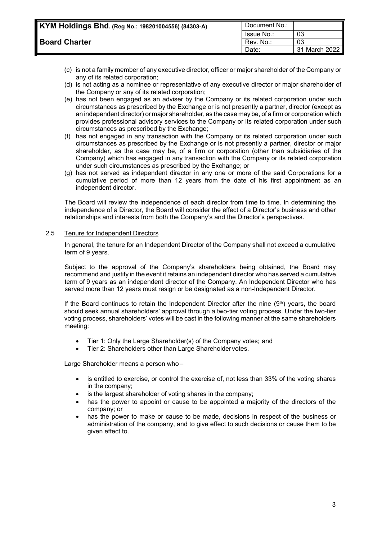| KYM Holdings Bhd. (Reg No.: 198201004556) (84303-A) | Document No.: |               |
|-----------------------------------------------------|---------------|---------------|
|                                                     | Issue No.:    | 03            |
| <b>Board Charter</b>                                | Rev. No.:     | 03            |
|                                                     | Date:         | 31 March 2022 |

- (c) is not a family member of any executive director, officer or major shareholder of the Company or any of its related corporation;
- (d) is not acting as a nominee or representative of any executive director or major shareholder of the Company or any of its related corporation;
- (e) has not been engaged as an adviser by the Company or its related corporation under such circumstances as prescribed by the Exchange or is not presently a partner, director (except as an independent director) or major shareholder, as the case may be, of a firm or corporation which provides professional advisory services to the Company or its related corporation under such circumstances as prescribed by the Exchange;
- (f) has not engaged in any transaction with the Company or its related corporation under such circumstances as prescribed by the Exchange or is not presently a partner, director or major shareholder, as the case may be, of a firm or corporation (other than subsidiaries of the Company) which has engaged in any transaction with the Company or its related corporation under such circumstances as prescribed by the Exchange; or
- (g) has not served as independent director in any one or more of the said Corporations for a cumulative period of more than 12 years from the date of his first appointment as an independent director.

The Board will review the independence of each director from time to time. In determining the independence of a Director, the Board will consider the effect of a Director's business and other relationships and interests from both the Company's and the Director's perspectives.

#### <span id="page-4-0"></span>2.5 Tenure for Independent Directors

In general, the tenure for an Independent Director of the Company shall not exceed a cumulative term of 9 years.

Subject to the approval of the Company's shareholders being obtained, the Board may recommend and justify in the event it retains an independent director who has served a cumulative term of 9 years as an independent director of the Company. An Independent Director who has served more than 12 years must resign or be designated as a non-Independent Director.

If the Board continues to retain the Independent Director after the nine  $(9<sup>th</sup>)$  years, the board should seek annual shareholders' approval through a two-tier voting process. Under the two-tier voting process, shareholders' votes will be cast in the following manner at the same shareholders meeting:

- Tier 1: Only the Large Shareholder(s) of the Company votes; and
- Tier 2: Shareholders other than Large Shareholder votes.

Large Shareholder means a person who –

- is entitled to exercise, or control the exercise of, not less than 33% of the voting shares in the company;
- is the largest shareholder of voting shares in the company;
- has the power to appoint or cause to be appointed a majority of the directors of the company; or
- has the power to make or cause to be made, decisions in respect of the business or administration of the company, and to give effect to such decisions or cause them to be given effect to.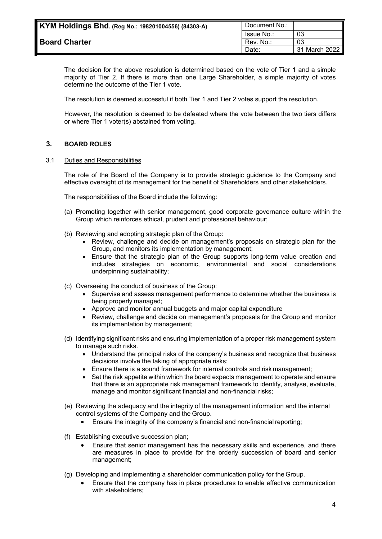| KYM Holdings Bhd. (Reg No.: 198201004556) (84303-A) | Document No.:     |               |
|-----------------------------------------------------|-------------------|---------------|
|                                                     | <b>Issue No.:</b> | 03            |
| <b>Board Charter</b>                                | Rev. No.:         | 03            |
|                                                     | Date:             | 31 March 2022 |

The decision for the above resolution is determined based on the vote of Tier 1 and a simple majority of Tier 2. If there is more than one Large Shareholder, a simple majority of votes determine the outcome of the Tier 1 vote.

The resolution is deemed successful if both Tier 1 and Tier 2 votes support the resolution.

However, the resolution is deemed to be defeated where the vote between the two tiers differs or where Tier 1 voter(s) abstained from voting.

# <span id="page-5-0"></span>**3. BOARD ROLES**

#### <span id="page-5-1"></span>3.1 Duties and Responsibilities

The role of the Board of the Company is to provide strategic guidance to the Company and effective oversight of its management for the benefit of Shareholders and other stakeholders.

The responsibilities of the Board include the following:

- (a) Promoting together with senior management, good corporate governance culture within the Group which reinforces ethical, prudent and professional behaviour;
- (b) Reviewing and adopting strategic plan of the Group:
	- Review, challenge and decide on management's proposals on strategic plan for the Group, and monitors its implementation by management;
	- Ensure that the strategic plan of the Group supports long-term value creation and includes strategies on economic, environmental and social considerations underpinning sustainability;
- (c) Overseeing the conduct of business of the Group:
	- Supervise and assess management performance to determine whether the business is being properly managed;
	- Approve and monitor annual budgets and major capital expenditure
	- Review, challenge and decide on management's proposals for the Group and monitor its implementation by management;
- (d) Identifying significant risks and ensuring implementation of a proper risk management system to manage such risks.
	- Understand the principal risks of the company's business and recognize that business decisions involve the taking of appropriate risks;
	- Ensure there is a sound framework for internal controls and risk management;
	- Set the risk appetite within which the board expects management to operate and ensure that there is an appropriate risk management framework to identify, analyse, evaluate, manage and monitor significant financial and non-financial risks;
- (e) Reviewing the adequacy and the integrity of the management information and the internal control systems of the Company and the Group.
	- Ensure the integrity of the company's financial and non-financial reporting;
- (f) Establishing executive succession plan;
	- Ensure that senior management has the necessary skills and experience, and there are measures in place to provide for the orderly succession of board and senior management;
- (g) Developing and implementing a shareholder communication policy for the Group.
	- Ensure that the company has in place procedures to enable effective communication with stakeholders;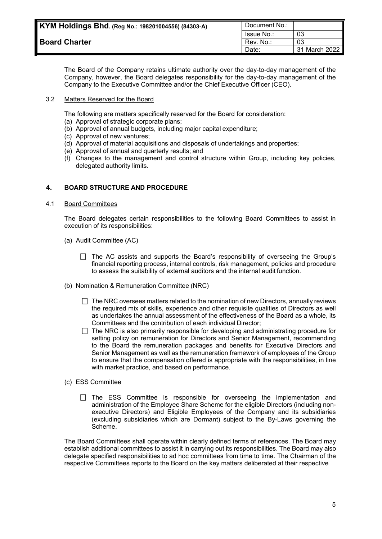| KYM Holdings Bhd. (Reg No.: 198201004556) (84303-A) | Document No.:     |               |
|-----------------------------------------------------|-------------------|---------------|
|                                                     | <b>Issue No.:</b> | 03            |
| <b>Board Charter</b>                                | Rev. No.:         | 03            |
|                                                     | Date:             | 31 March 2022 |

The Board of the Company retains ultimate authority over the day-to-day management of the Company, however, the Board delegates responsibility for the day-to-day management of the Company to the Executive Committee and/or the Chief Executive Officer (CEO).

# <span id="page-6-0"></span>3.2 Matters Reserved for the Board

The following are matters specifically reserved for the Board for consideration:

- (a) Approval of strategic corporate plans;
- (b) Approval of annual budgets, including major capital expenditure;
- (c) Approval of new ventures;
- (d) Approval of material acquisitions and disposals of undertakings and properties;
- (e) Approval of annual and quarterly results; and
- (f) Changes to the management and control structure within Group, including key policies, delegated authority limits.

# <span id="page-6-1"></span>**4. BOARD STRUCTURE AND PROCEDURE**

#### <span id="page-6-2"></span>4.1 Board Committees

The Board delegates certain responsibilities to the following Board Committees to assist in execution of its responsibilities:

- (a) Audit Committee (AC)
	- $\Box$  The AC assists and supports the Board's responsibility of overseeing the Group's financial reporting process, internal controls, risk management, policies and procedure to assess the suitability of external auditors and the internal audit function.
- (b) Nomination & Remuneration Committee (NRC)
	- $\Box$  The NRC oversees matters related to the nomination of new Directors, annually reviews the required mix of skills, experience and other requisite qualities of Directors as well as undertakes the annual assessment of the effectiveness of the Board as a whole, its Committees and the contribution of each individual Director;
	- $\Box$  The NRC is also primarily responsible for developing and administrating procedure for setting policy on remuneration for Directors and Senior Management, recommending to the Board the remuneration packages and benefits for Executive Directors and Senior Management as well as the remuneration framework of employees of the Group to ensure that the compensation offered is appropriate with the responsibilities, in line with market practice, and based on performance.
- (c) ESS Committee
	- $\Box$  The ESS Committee is responsible for overseeing the implementation and administration of the Employee Share Scheme for the eligible Directors (including nonexecutive Directors) and Eligible Employees of the Company and its subsidiaries (excluding subsidiaries which are Dormant) subject to the By-Laws governing the Scheme.

The Board Committees shall operate within clearly defined terms of references. The Board may establish additional committees to assist it in carrying out its responsibilities. The Board may also delegate specified responsibilities to ad hoc committees from time to time. The Chairman of the respective Committees reports to the Board on the key matters deliberated at their respective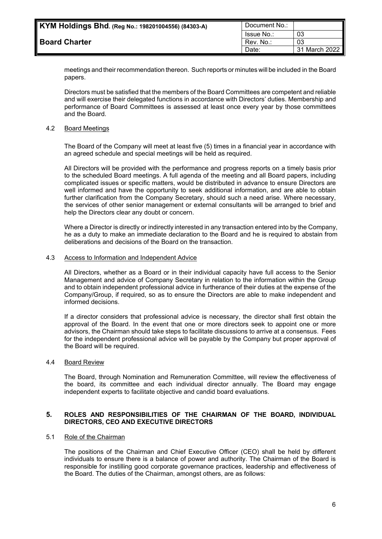| KYM Holdings Bhd. (Reg No.: 198201004556) (84303-A) | Document No.: |               |
|-----------------------------------------------------|---------------|---------------|
|                                                     | Issue No.:    | 03            |
| <b>Board Charter</b>                                | Rev. No.:     | 03            |
|                                                     | Date:         | 31 March 2022 |

meetings and their recommendation thereon. Such reports or minutes will be included in the Board papers.

Directors must be satisfied that the members of the Board Committees are competent and reliable and will exercise their delegated functions in accordance with Directors' duties. Membership and performance of Board Committees is assessed at least once every year by those committees and the Board.

### <span id="page-7-0"></span>4.2 Board Meetings

The Board of the Company will meet at least five (5) times in a financial year in accordance with an agreed schedule and special meetings will be held as required.

All Directors will be provided with the performance and progress reports on a timely basis prior to the scheduled Board meetings. A full agenda of the meeting and all Board papers, including complicated issues or specific matters, would be distributed in advance to ensure Directors are well informed and have the opportunity to seek additional information, and are able to obtain further clarification from the Company Secretary, should such a need arise. Where necessary, the services of other senior management or external consultants will be arranged to brief and help the Directors clear any doubt or concern.

Where a Director is directly or indirectly interested in any transaction entered into by the Company, he as a duty to make an immediate declaration to the Board and he is required to abstain from deliberations and decisions of the Board on the transaction.

#### <span id="page-7-1"></span>4.3 Access to Information and Independent Advice

All Directors, whether as a Board or in their individual capacity have full access to the Senior Management and advice of Company Secretary in relation to the information within the Group and to obtain independent professional advice in furtherance of their duties at the expense of the Company/Group, if required, so as to ensure the Directors are able to make independent and informed decisions.

If a director considers that professional advice is necessary, the director shall first obtain the approval of the Board. In the event that one or more directors seek to appoint one or more advisors, the Chairman should take steps to facilitate discussions to arrive at a consensus. Fees for the independent professional advice will be payable by the Company but proper approval of the Board will be required.

# <span id="page-7-2"></span>4.4 Board Review

The Board, through Nomination and Remuneration Committee, will review the effectiveness of the board, its committee and each individual director annually. The Board may engage independent experts to facilitate objective and candid board evaluations.

#### <span id="page-7-3"></span>**5. ROLES AND RESPONSIBILITIES OF THE CHAIRMAN OF THE BOARD, INDIVIDUAL DIRECTORS, CEO AND EXECUTIVE DIRECTORS**

#### <span id="page-7-4"></span>5.1 Role of the Chairman

The positions of the Chairman and Chief Executive Officer (CEO) shall be held by different individuals to ensure there is a balance of power and authority. The Chairman of the Board is responsible for instilling good corporate governance practices, leadership and effectiveness of the Board. The duties of the Chairman, amongst others, are as follows: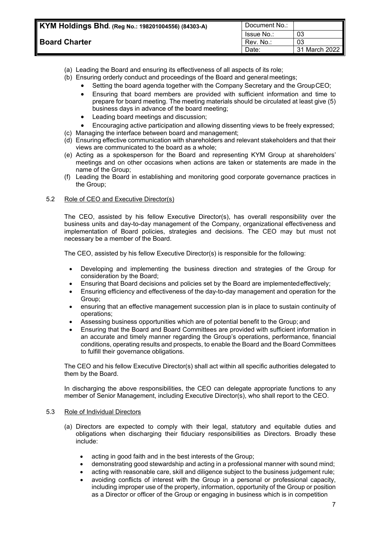| / KYM Holdings Bhd. (Reg No.: 198201004556) (84303-A) | Document No.: |               |
|-------------------------------------------------------|---------------|---------------|
|                                                       | Issue No.:    | 03            |
| <b>Board Charter</b>                                  | Rev. No.:     | 03            |
|                                                       | Date:         | 31 March 2022 |

# (a) Leading the Board and ensuring its effectiveness of all aspects of its role;

- (b) Ensuring orderly conduct and proceedings of the Board and general meetings;
	- Setting the board agenda together with the Company Secretary and the GroupCEO;
		- Ensuring that board members are provided with sufficient information and time to prepare for board meeting. The meeting materials should be circulated at least give (5) business days in advance of the board meeting;
		- Leading board meetings and discussion;
		- Encouraging active participation and allowing dissenting views to be freely expressed;
- (c) Managing the interface between board and management;
- (d) Ensuring effective communication with shareholders and relevant stakeholders and that their views are communicated to the board as a whole;
- (e) Acting as a spokesperson for the Board and representing KYM Group at shareholders' meetings and on other occasions when actions are taken or statements are made in the name of the Group;
- (f) Leading the Board in establishing and monitoring good corporate governance practices in the Group;

#### <span id="page-8-0"></span>5.2 Role of CEO and Executive Director(s)

The CEO, assisted by his fellow Executive Director(s), has overall responsibility over the business units and day-to-day management of the Company, organizational effectiveness and implementation of Board policies, strategies and decisions. The CEO may but must not necessary be a member of the Board.

The CEO, assisted by his fellow Executive Director(s) is responsible for the following:

- Developing and implementing the business direction and strategies of the Group for consideration by the Board;
- Ensuring that Board decisions and policies set by the Board are implementedeffectively;
- Ensuring efficiency and effectiveness of the day-to-day management and operation for the Group;
- ensuring that an effective management succession plan is in place to sustain continuity of operations;
- Assessing business opportunities which are of potential benefit to the Group; and
- Ensuring that the Board and Board Committees are provided with sufficient information in an accurate and timely manner regarding the Group's operations, performance, financial conditions, operating results and prospects, to enable the Board and the Board Committees to fulfill their governance obligations.

The CEO and his fellow Executive Director(s) shall act within all specific authorities delegated to them by the Board.

In discharging the above responsibilities, the CEO can delegate appropriate functions to any member of Senior Management, including Executive Director(s), who shall report to the CEO.

#### <span id="page-8-1"></span>5.3 Role of Individual Directors

- (a) Directors are expected to comply with their legal, statutory and equitable duties and obligations when discharging their fiduciary responsibilities as Directors. Broadly these include:
	- acting in good faith and in the best interests of the Group;
	- demonstrating good stewardship and acting in a professional manner with sound mind;
	- acting with reasonable care, skill and diligence subject to the business judgement rule;
	- avoiding conflicts of interest with the Group in a personal or professional capacity, including improper use of the property, information, opportunity of the Group or position as a Director or officer of the Group or engaging in business which is in competition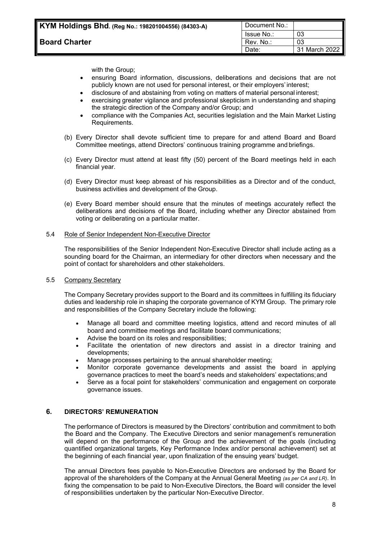with the Group;

- ensuring Board information, discussions, deliberations and decisions that are not publicly known are not used for personal interest, or their employers' interest;
- disclosure of and abstaining from voting on matters of material personal interest;
- exercising greater vigilance and professional skepticism in understanding and shaping the strategic direction of the Company and/or Group; and
- compliance with the Companies Act, securities legislation and the Main Market Listing Requirements.
- (b) Every Director shall devote sufficient time to prepare for and attend Board and Board Committee meetings, attend Directors' continuous training programme and briefings.
- (c) Every Director must attend at least fifty (50) percent of the Board meetings held in each financial year.
- (d) Every Director must keep abreast of his responsibilities as a Director and of the conduct, business activities and development of the Group.
- (e) Every Board member should ensure that the minutes of meetings accurately reflect the deliberations and decisions of the Board, including whether any Director abstained from voting or deliberating on a particular matter.

### <span id="page-9-0"></span>5.4 Role of Senior Independent Non-Executive Director

The responsibilities of the Senior Independent Non-Executive Director shall include acting as a sounding board for the Chairman, an intermediary for other directors when necessary and the point of contact for shareholders and other stakeholders.

#### <span id="page-9-1"></span>5.5 Company Secretary

The Company Secretary provides support to the Board and its committees in fulfilling its fiduciary duties and leadership role in shaping the corporate governance of KYM Group. The primary role and responsibilities of the Company Secretary include the following:

- Manage all board and committee meeting logistics, attend and record minutes of all board and committee meetings and facilitate board communications;
- Advise the board on its roles and responsibilities;
- Facilitate the orientation of new directors and assist in a director training and developments;
- Manage processes pertaining to the annual shareholder meeting;
- Monitor corporate governance developments and assist the board in applying governance practices to meet the board's needs and stakeholders' expectations;and
- Serve as a focal point for stakeholders' communication and engagement on corporate governance issues.

# <span id="page-9-2"></span>**6. DIRECTORS' REMUNERATION**

The performance of Directors is measured by the Directors' contribution and commitment to both the Board and the Company. The Executive Directors and senior management's remuneration will depend on the performance of the Group and the achievement of the goals (including quantified organizational targets, Key Performance Index and/or personal achievement) set at the beginning of each financial year, upon finalization of the ensuing years' budget.

The annual Directors fees payable to Non-Executive Directors are endorsed by the Board for approval of the shareholders of the Company at the Annual General Meeting *(as per CA and LR)*. In fixing the compensation to be paid to Non-Executive Directors, the Board will consider the level of responsibilities undertaken by the particular Non-Executive Director.